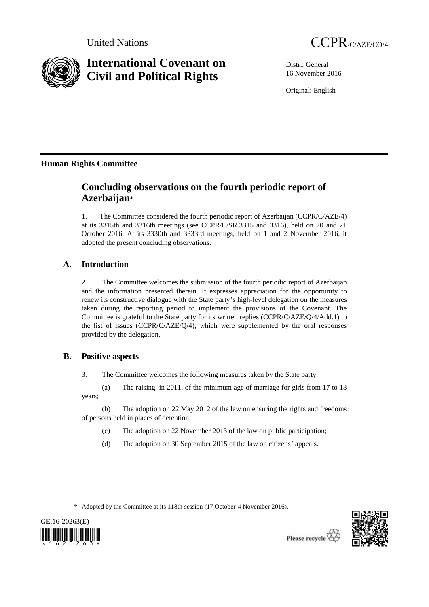



# **International Covenant on Civil and Political Rights**

Distr.: General 16 November 2016

Original: English

# **Human Rights Committee**

# **Concluding observations on the fourth periodic report of Azerbaijan**\*

1. The Committee considered the fourth periodic report of Azerbaijan (CCPR/C/AZE/4) at its 3315th and 3316th meetings (see CCPR/C/SR.3315 and 3316), held on 20 and 21 October 2016. At its 3330th and 3333rd meetings, held on 1 and 2 November 2016, it adopted the present concluding observations.

# **A. Introduction**

2. The Committee welcomes the submission of the fourth periodic report of Azerbaijan and the information presented therein. It expresses appreciation for the opportunity to renew its constructive dialogue with the State party's high-level delegation on the measures taken during the reporting period to implement the provisions of the Covenant. The Committee is grateful to the State party for its written replies (CCPR/C/AZE/Q/4/Add.1) to the list of issues (CCPR/C/AZE/Q/4), which were supplemented by the oral responses provided by the delegation.

# **B. Positive aspects**

3. The Committee welcomes the following measures taken by the State party:

(a) The raising, in 2011, of the minimum age of marriage for girls from 17 to 18 years;

(b) The adoption on 22 May 2012 of the law on ensuring the rights and freedoms of persons held in places of detention;

- (c) The adoption on 22 November 2013 of the law on public participation;
- (d) The adoption on 30 September 2015 of the law on citizens' appeals.

\* Adopted by the Committee at its 118th session (17 October-4 November 2016).



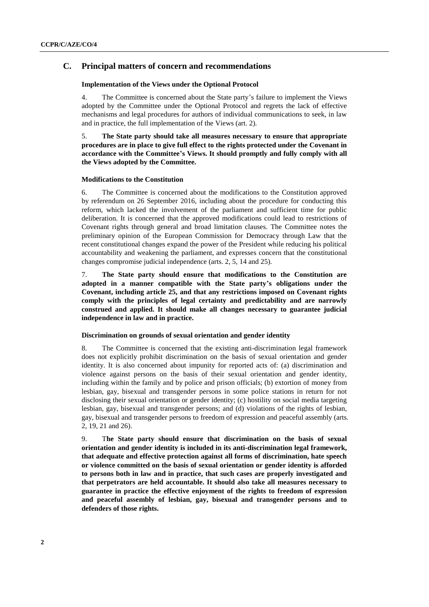# **C. Principal matters of concern and recommendations**

# **Implementation of the Views under the Optional Protocol**

4. The Committee is concerned about the State party's failure to implement the Views adopted by the Committee under the Optional Protocol and regrets the lack of effective mechanisms and legal procedures for authors of individual communications to seek, in law and in practice, the full implementation of the Views (art. 2).

5. **The State party should take all measures necessary to ensure that appropriate procedures are in place to give full effect to the rights protected under the Covenant in accordance with the Committee's Views. It should promptly and fully comply with all the Views adopted by the Committee.**

# **Modifications to the Constitution**

6. The Committee is concerned about the modifications to the Constitution approved by referendum on 26 September 2016, including about the procedure for conducting this reform, which lacked the involvement of the parliament and sufficient time for public deliberation. It is concerned that the approved modifications could lead to restrictions of Covenant rights through general and broad limitation clauses. The Committee notes the preliminary opinion of the European Commission for Democracy through Law that the recent constitutional changes expand the power of the President while reducing his political accountability and weakening the parliament, and expresses concern that the constitutional changes compromise judicial independence (arts. 2, 5, 14 and 25).

7. **The State party should ensure that modifications to the Constitution are adopted in a manner compatible with the State party's obligations under the Covenant, including article 25, and that any restrictions imposed on Covenant rights comply with the principles of legal certainty and predictability and are narrowly construed and applied. It should make all changes necessary to guarantee judicial independence in law and in practice.** 

# **Discrimination on grounds of sexual orientation and gender identity**

8. The Committee is concerned that the existing anti-discrimination legal framework does not explicitly prohibit discrimination on the basis of sexual orientation and gender identity. It is also concerned about impunity for reported acts of: (a) discrimination and violence against persons on the basis of their sexual orientation and gender identity, including within the family and by police and prison officials; (b) extortion of money from lesbian, gay, bisexual and transgender persons in some police stations in return for not disclosing their sexual orientation or gender identity; (c) hostility on social media targeting lesbian, gay, bisexual and transgender persons; and (d) violations of the rights of lesbian, gay, bisexual and transgender persons to freedom of expression and peaceful assembly (arts. 2, 19, 21 and 26).

9. T**he State party should ensure that discrimination on the basis of sexual orientation and gender identity is included in its anti-discrimination legal framework, that adequate and effective protection against all forms of discrimination, hate speech or violence committed on the basis of sexual orientation or gender identity is afforded to persons both in law and in practice, that such cases are properly investigated and that perpetrators are held accountable. It should also take all measures necessary to guarantee in practice the effective enjoyment of the rights to freedom of expression and peaceful assembly of lesbian, gay, bisexual and transgender persons and to defenders of those rights.**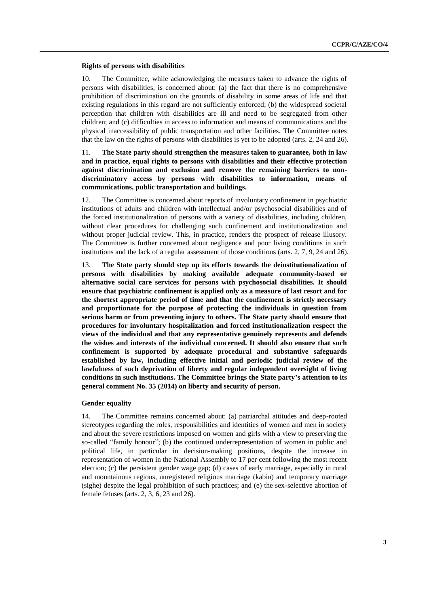# **Rights of persons with disabilities**

10. The Committee, while acknowledging the measures taken to advance the rights of persons with disabilities, is concerned about: (a) the fact that there is no comprehensive prohibition of discrimination on the grounds of disability in some areas of life and that existing regulations in this regard are not sufficiently enforced; (b) the widespread societal perception that children with disabilities are ill and need to be segregated from other children; and (c) difficulties in access to information and means of communications and the physical inaccessibility of public transportation and other facilities. The Committee notes that the law on the rights of persons with disabilities is yet to be adopted (arts. 2, 24 and 26).

# 11. **The State party should strengthen the measures taken to guarantee, both in law and in practice, equal rights to persons with disabilities and their effective protection against discrimination and exclusion and remove the remaining barriers to nondiscriminatory access by persons with disabilities to information, means of communications, public transportation and buildings.**

12. The Committee is concerned about reports of involuntary confinement in psychiatric institutions of adults and children with intellectual and/or psychosocial disabilities and of the forced institutionalization of persons with a variety of disabilities, including children, without clear procedures for challenging such confinement and institutionalization and without proper judicial review. This, in practice, renders the prospect of release illusory. The Committee is further concerned about negligence and poor living conditions in such institutions and the lack of a regular assessment of those conditions (arts. 2, 7, 9, 24 and 26).

13. **The State party should step up its efforts towards the deinstitutionalization of persons with disabilities by making available adequate community-based or alternative social care services for persons with psychosocial disabilities. It should ensure that psychiatric confinement is applied only as a measure of last resort and for the shortest appropriate period of time and that the confinement is strictly necessary and proportionate for the purpose of protecting the individuals in question from serious harm or from preventing injury to others. The State party should ensure that procedures for involuntary hospitalization and forced institutionalization respect the views of the individual and that any representative genuinely represents and defends the wishes and interests of the individual concerned. It should also ensure that such confinement is supported by adequate procedural and substantive safeguards established by law, including effective initial and periodic judicial review of the lawfulness of such deprivation of liberty and regular independent oversight of living conditions in such institutions. The Committee brings the State party's attention to its general comment No. 35 (2014) on liberty and security of person.** 

# **Gender equality**

14. The Committee remains concerned about: (a) patriarchal attitudes and deep-rooted stereotypes regarding the roles, responsibilities and identities of women and men in society and about the severe restrictions imposed on women and girls with a view to preserving the so-called "family honour"; (b) the continued underrepresentation of women in public and political life, in particular in decision-making positions, despite the increase in representation of women in the National Assembly to 17 per cent following the most recent election; (c) the persistent gender wage gap; (d) cases of early marriage, especially in rural and mountainous regions, unregistered religious marriage (kabin) and temporary marriage (sighe) despite the legal prohibition of such practices; and (e) the sex-selective abortion of female fetuses (arts. 2, 3, 6, 23 and 26).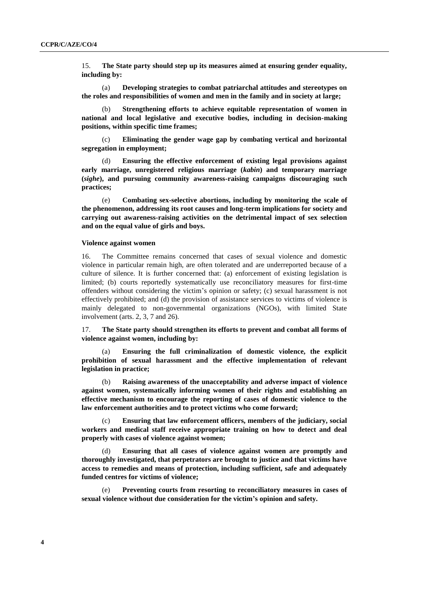15. **The State party should step up its measures aimed at ensuring gender equality, including by:**

(a) **Developing strategies to combat patriarchal attitudes and stereotypes on the roles and responsibilities of women and men in the family and in society at large;**

Strengthening efforts to achieve equitable representation of women in **national and local legislative and executive bodies, including in decision-making positions, within specific time frames;**

(c) **Eliminating the gender wage gap by combating vertical and horizontal segregation in employment;**

(d) **Ensuring the effective enforcement of existing legal provisions against early marriage, unregistered religious marriage (***kabin***) and temporary marriage (***sighe***), and pursuing community awareness-raising campaigns discouraging such practices;**

(e) **Combating sex-selective abortions, including by monitoring the scale of the phenomenon, addressing its root causes and long-term implications for society and carrying out awareness-raising activities on the detrimental impact of sex selection and on the equal value of girls and boys.**

### **Violence against women**

16. The Committee remains concerned that cases of sexual violence and domestic violence in particular remain high, are often tolerated and are underreported because of a culture of silence. It is further concerned that: (a) enforcement of existing legislation is limited; (b) courts reportedly systematically use reconciliatory measures for first-time offenders without considering the victim's opinion or safety; (c) sexual harassment is not effectively prohibited; and (d) the provision of assistance services to victims of violence is mainly delegated to non-governmental organizations (NGOs), with limited State involvement (arts. 2, 3, 7 and 26).

17. **The State party should strengthen its efforts to prevent and combat all forms of violence against women, including by:**

(a) **Ensuring the full criminalization of domestic violence, the explicit prohibition of sexual harassment and the effective implementation of relevant legislation in practice;**

(b) **Raising awareness of the unacceptability and adverse impact of violence against women, systematically informing women of their rights and establishing an effective mechanism to encourage the reporting of cases of domestic violence to the law enforcement authorities and to protect victims who come forward;**

(c) **Ensuring that law enforcement officers, members of the judiciary, social workers and medical staff receive appropriate training on how to detect and deal properly with cases of violence against women;**

(d) **Ensuring that all cases of violence against women are promptly and thoroughly investigated, that perpetrators are brought to justice and that victims have access to remedies and means of protection, including sufficient, safe and adequately funded centres for victims of violence;**

(e) **Preventing courts from resorting to reconciliatory measures in cases of sexual violence without due consideration for the victim's opinion and safety.**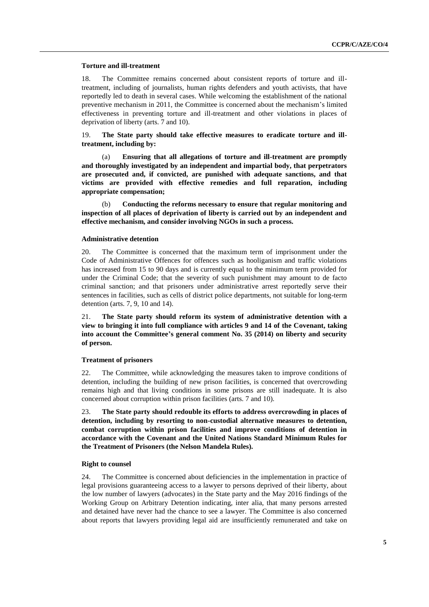### **Torture and ill-treatment**

18. The Committee remains concerned about consistent reports of torture and illtreatment, including of journalists, human rights defenders and youth activists, that have reportedly led to death in several cases. While welcoming the establishment of the national preventive mechanism in 2011, the Committee is concerned about the mechanism's limited effectiveness in preventing torture and ill-treatment and other violations in places of deprivation of liberty (arts. 7 and 10).

19. **The State party should take effective measures to eradicate torture and illtreatment, including by:**

(a) **Ensuring that all allegations of torture and ill-treatment are promptly and thoroughly investigated by an independent and impartial body, that perpetrators are prosecuted and, if convicted, are punished with adequate sanctions, and that victims are provided with effective remedies and full reparation, including appropriate compensation;**

(b) **Conducting the reforms necessary to ensure that regular monitoring and inspection of all places of deprivation of liberty is carried out by an independent and effective mechanism, and consider involving NGOs in such a process.**

# **Administrative detention**

20. The Committee is concerned that the maximum term of imprisonment under the Code of Administrative Offences for offences such as hooliganism and traffic violations has increased from 15 to 90 days and is currently equal to the minimum term provided for under the Criminal Code; that the severity of such punishment may amount to de facto criminal sanction; and that prisoners under administrative arrest reportedly serve their sentences in facilities, such as cells of district police departments, not suitable for long-term detention (arts. 7, 9, 10 and 14).

21. **The State party should reform its system of administrative detention with a view to bringing it into full compliance with articles 9 and 14 of the Covenant, taking into account the Committee's general comment No. 35 (2014) on liberty and security of person.**

# **Treatment of prisoners**

22. The Committee, while acknowledging the measures taken to improve conditions of detention, including the building of new prison facilities, is concerned that overcrowding remains high and that living conditions in some prisons are still inadequate. It is also concerned about corruption within prison facilities (arts. 7 and 10).

23. **The State party should redouble its efforts to address overcrowding in places of detention, including by resorting to non-custodial alternative measures to detention, combat corruption within prison facilities and improve conditions of detention in accordance with the Covenant and the United Nations Standard Minimum Rules for the Treatment of Prisoners (the Nelson Mandela Rules).**

#### **Right to counsel**

24. The Committee is concerned about deficiencies in the implementation in practice of legal provisions guaranteeing access to a lawyer to persons deprived of their liberty, about the low number of lawyers (advocates) in the State party and the May 2016 findings of the Working Group on Arbitrary Detention indicating, inter alia, that many persons arrested and detained have never had the chance to see a lawyer. The Committee is also concerned about reports that lawyers providing legal aid are insufficiently remunerated and take on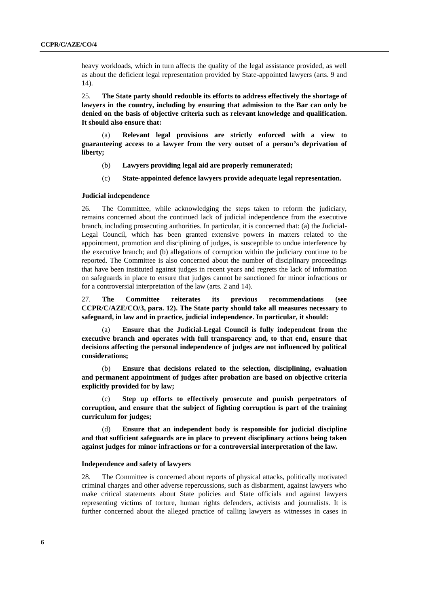heavy workloads, which in turn affects the quality of the legal assistance provided, as well as about the deficient legal representation provided by State-appointed lawyers (arts. 9 and 14).

25. **The State party should redouble its efforts to address effectively the shortage of lawyers in the country, including by ensuring that admission to the Bar can only be denied on the basis of objective criteria such as relevant knowledge and qualification. It should also ensure that:** 

(a) **Relevant legal provisions are strictly enforced with a view to guaranteeing access to a lawyer from the very outset of a person's deprivation of liberty;** 

- (b) **Lawyers providing legal aid are properly remunerated;**
- (c) **State-appointed defence lawyers provide adequate legal representation.**

#### **Judicial independence**

26. The Committee, while acknowledging the steps taken to reform the judiciary, remains concerned about the continued lack of judicial independence from the executive branch, including prosecuting authorities. In particular, it is concerned that: (a) the Judicial-Legal Council, which has been granted extensive powers in matters related to the appointment, promotion and disciplining of judges, is susceptible to undue interference by the executive branch; and (b) allegations of corruption within the judiciary continue to be reported. The Committee is also concerned about the number of disciplinary proceedings that have been instituted against judges in recent years and regrets the lack of information on safeguards in place to ensure that judges cannot be sanctioned for minor infractions or for a controversial interpretation of the law (arts. 2 and 14).

27. **The Committee reiterates its previous recommendations (see CCPR/C/AZE/CO/3, para. 12). The State party should take all measures necessary to safeguard, in law and in practice, judicial independence. In particular, it should:** 

Ensure that the Judicial-Legal Council is fully independent from the **executive branch and operates with full transparency and, to that end, ensure that decisions affecting the personal independence of judges are not influenced by political considerations;**

(b) **Ensure that decisions related to the selection, disciplining, evaluation and permanent appointment of judges after probation are based on objective criteria explicitly provided for by law;**

(c) **Step up efforts to effectively prosecute and punish perpetrators of corruption, and ensure that the subject of fighting corruption is part of the training curriculum for judges;**

(d) **Ensure that an independent body is responsible for judicial discipline and that sufficient safeguards are in place to prevent disciplinary actions being taken against judges for minor infractions or for a controversial interpretation of the law.**

#### **Independence and safety of lawyers**

28. The Committee is concerned about reports of physical attacks, politically motivated criminal charges and other adverse repercussions, such as disbarment, against lawyers who make critical statements about State policies and State officials and against lawyers representing victims of torture, human rights defenders, activists and journalists. It is further concerned about the alleged practice of calling lawyers as witnesses in cases in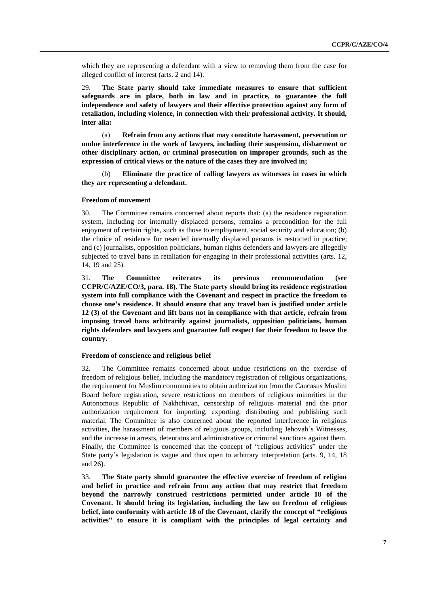which they are representing a defendant with a view to removing them from the case for alleged conflict of interest (arts. 2 and 14).

29. **The State party should take immediate measures to ensure that sufficient safeguards are in place, both in law and in practice, to guarantee the full independence and safety of lawyers and their effective protection against any form of retaliation, including violence, in connection with their professional activity. It should, inter alia:**

(a) **Refrain from any actions that may constitute harassment, persecution or undue interference in the work of lawyers, including their suspension, disbarment or other disciplinary action, or criminal prosecution on improper grounds, such as the expression of critical views or the nature of the cases they are involved in;**

(b) **Eliminate the practice of calling lawyers as witnesses in cases in which they are representing a defendant.**

#### **Freedom of movement**

30. The Committee remains concerned about reports that: (a) the residence registration system, including for internally displaced persons, remains a precondition for the full enjoyment of certain rights, such as those to employment, social security and education; (b) the choice of residence for resettled internally displaced persons is restricted in practice; and (c) journalists, opposition politicians, human rights defenders and lawyers are allegedly subjected to travel bans in retaliation for engaging in their professional activities (arts. 12, 14, 19 and 25).

31. **The Committee reiterates its previous recommendation (see CCPR/C/AZE/CO/3, para. 18). The State party should bring its residence registration system into full compliance with the Covenant and respect in practice the freedom to choose one's residence. It should ensure that any travel ban is justified under article 12 (3) of the Covenant and lift bans not in compliance with that article, refrain from imposing travel bans arbitrarily against journalists, opposition politicians, human rights defenders and lawyers and guarantee full respect for their freedom to leave the country.** 

# **Freedom of conscience and religious belief**

32. The Committee remains concerned about undue restrictions on the exercise of freedom of religious belief, including the mandatory registration of religious organizations, the requirement for Muslim communities to obtain authorization from the Caucasus Muslim Board before registration, severe restrictions on members of religious minorities in the Autonomous Republic of Nakhchivan, censorship of religious material and the prior authorization requirement for importing, exporting, distributing and publishing such material. The Committee is also concerned about the reported interference in religious activities, the harassment of members of religious groups, including Jehovah's Witnesses, and the increase in arrests, detentions and administrative or criminal sanctions against them. Finally, the Committee is concerned that the concept of "religious activities" under the State party's legislation is vague and thus open to arbitrary interpretation (arts. 9, 14, 18 and 26).

33. **The State party should guarantee the effective exercise of freedom of religion and belief in practice and refrain from any action that may restrict that freedom beyond the narrowly construed restrictions permitted under article 18 of the Covenant. It should bring its legislation, including the law on freedom of religious belief, into conformity with article 18 of the Covenant, clarify the concept of "religious activities" to ensure it is compliant with the principles of legal certainty and**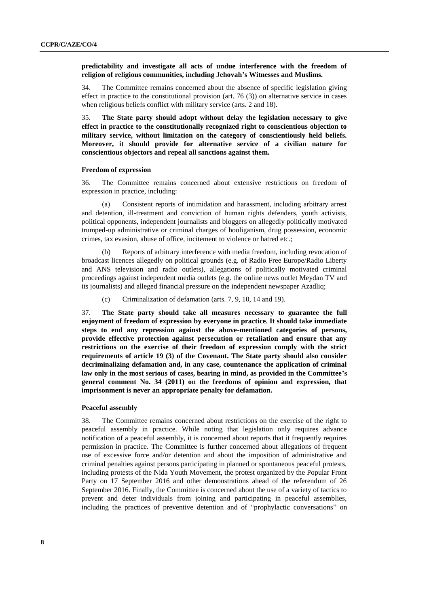# **predictability and investigate all acts of undue interference with the freedom of religion of religious communities, including Jehovah's Witnesses and Muslims.**

34. The Committee remains concerned about the absence of specific legislation giving effect in practice to the constitutional provision (art. 76 (3)) on alternative service in cases when religious beliefs conflict with military service (arts. 2 and 18).

35. **The State party should adopt without delay the legislation necessary to give effect in practice to the constitutionally recognized right to conscientious objection to military service, without limitation on the category of conscientiously held beliefs. Moreover, it should provide for alternative service of a civilian nature for conscientious objectors and repeal all sanctions against them.**

### **Freedom of expression**

36. The Committee remains concerned about extensive restrictions on freedom of expression in practice, including:

(a) Consistent reports of intimidation and harassment, including arbitrary arrest and detention, ill-treatment and conviction of human rights defenders, youth activists, political opponents, independent journalists and bloggers on allegedly politically motivated trumped-up administrative or criminal charges of hooliganism, drug possession, economic crimes, tax evasion, abuse of office, incitement to violence or hatred etc.;

(b) Reports of arbitrary interference with media freedom, including revocation of broadcast licences allegedly on political grounds (e.g. of Radio Free Europe/Radio Liberty and ANS television and radio outlets), allegations of politically motivated criminal proceedings against independent media outlets (e.g. the online news outlet Meydan TV and its journalists) and alleged financial pressure on the independent newspaper Azadliq;

(c) Criminalization of defamation (arts. 7, 9, 10, 14 and 19).

37. **The State party should take all measures necessary to guarantee the full enjoyment of freedom of expression by everyone in practice. It should take immediate steps to end any repression against the above-mentioned categories of persons, provide effective protection against persecution or retaliation and ensure that any restrictions on the exercise of their freedom of expression comply with the strict requirements of article 19 (3) of the Covenant. The State party should also consider decriminalizing defamation and, in any case, countenance the application of criminal law only in the most serious of cases, bearing in mind, as provided in the Committee's general comment No. 34 (2011) on the freedoms of opinion and expression, that imprisonment is never an appropriate penalty for defamation.**

# **Peaceful assembly**

38. The Committee remains concerned about restrictions on the exercise of the right to peaceful assembly in practice. While noting that legislation only requires advance notification of a peaceful assembly, it is concerned about reports that it frequently requires permission in practice. The Committee is further concerned about allegations of frequent use of excessive force and/or detention and about the imposition of administrative and criminal penalties against persons participating in planned or spontaneous peaceful protests, including protests of the Nida Youth Movement, the protest organized by the Popular Front Party on 17 September 2016 and other demonstrations ahead of the referendum of 26 September 2016. Finally, the Committee is concerned about the use of a variety of tactics to prevent and deter individuals from joining and participating in peaceful assemblies, including the practices of preventive detention and of "prophylactic conversations" on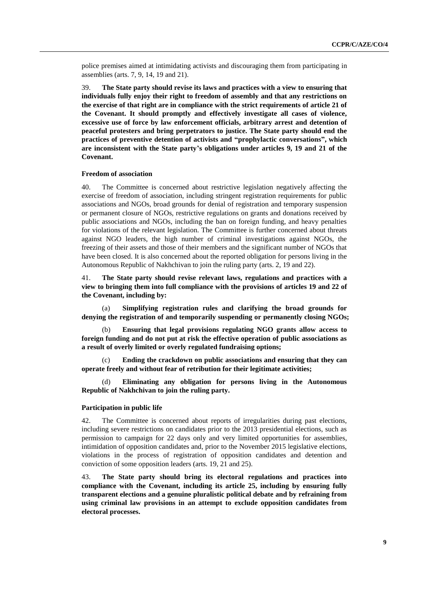police premises aimed at intimidating activists and discouraging them from participating in assemblies (arts. 7, 9, 14, 19 and 21).

39. **The State party should revise its laws and practices with a view to ensuring that individuals fully enjoy their right to freedom of assembly and that any restrictions on the exercise of that right are in compliance with the strict requirements of article 21 of the Covenant. It should promptly and effectively investigate all cases of violence, excessive use of force by law enforcement officials, arbitrary arrest and detention of peaceful protesters and bring perpetrators to justice. The State party should end the practices of preventive detention of activists and "prophylactic conversations", which are inconsistent with the State party's obligations under articles 9, 19 and 21 of the Covenant.** 

#### **Freedom of association**

40. The Committee is concerned about restrictive legislation negatively affecting the exercise of freedom of association, including stringent registration requirements for public associations and NGOs, broad grounds for denial of registration and temporary suspension or permanent closure of NGOs, restrictive regulations on grants and donations received by public associations and NGOs, including the ban on foreign funding, and heavy penalties for violations of the relevant legislation. The Committee is further concerned about threats against NGO leaders, the high number of criminal investigations against NGOs, the freezing of their assets and those of their members and the significant number of NGOs that have been closed. It is also concerned about the reported obligation for persons living in the Autonomous Republic of Nakhchivan to join the ruling party (arts. 2, 19 and 22).

41. **The State party should revise relevant laws, regulations and practices with a view to bringing them into full compliance with the provisions of articles 19 and 22 of the Covenant, including by:**

(a) **Simplifying registration rules and clarifying the broad grounds for denying the registration of and temporarily suspending or permanently closing NGOs;**

(b) **Ensuring that legal provisions regulating NGO grants allow access to foreign funding and do not put at risk the effective operation of public associations as a result of overly limited or overly regulated fundraising options;**

(c) **Ending the crackdown on public associations and ensuring that they can operate freely and without fear of retribution for their legitimate activities;**

(d) **Eliminating any obligation for persons living in the Autonomous Republic of Nakhchivan to join the ruling party.** 

# **Participation in public life**

42. The Committee is concerned about reports of irregularities during past elections, including severe restrictions on candidates prior to the 2013 presidential elections, such as permission to campaign for 22 days only and very limited opportunities for assemblies, intimidation of opposition candidates and, prior to the November 2015 legislative elections, violations in the process of registration of opposition candidates and detention and conviction of some opposition leaders (arts. 19, 21 and 25).

43. **The State party should bring its electoral regulations and practices into compliance with the Covenant, including its article 25, including by ensuring fully transparent elections and a genuine pluralistic political debate and by refraining from using criminal law provisions in an attempt to exclude opposition candidates from electoral processes.**

**9**